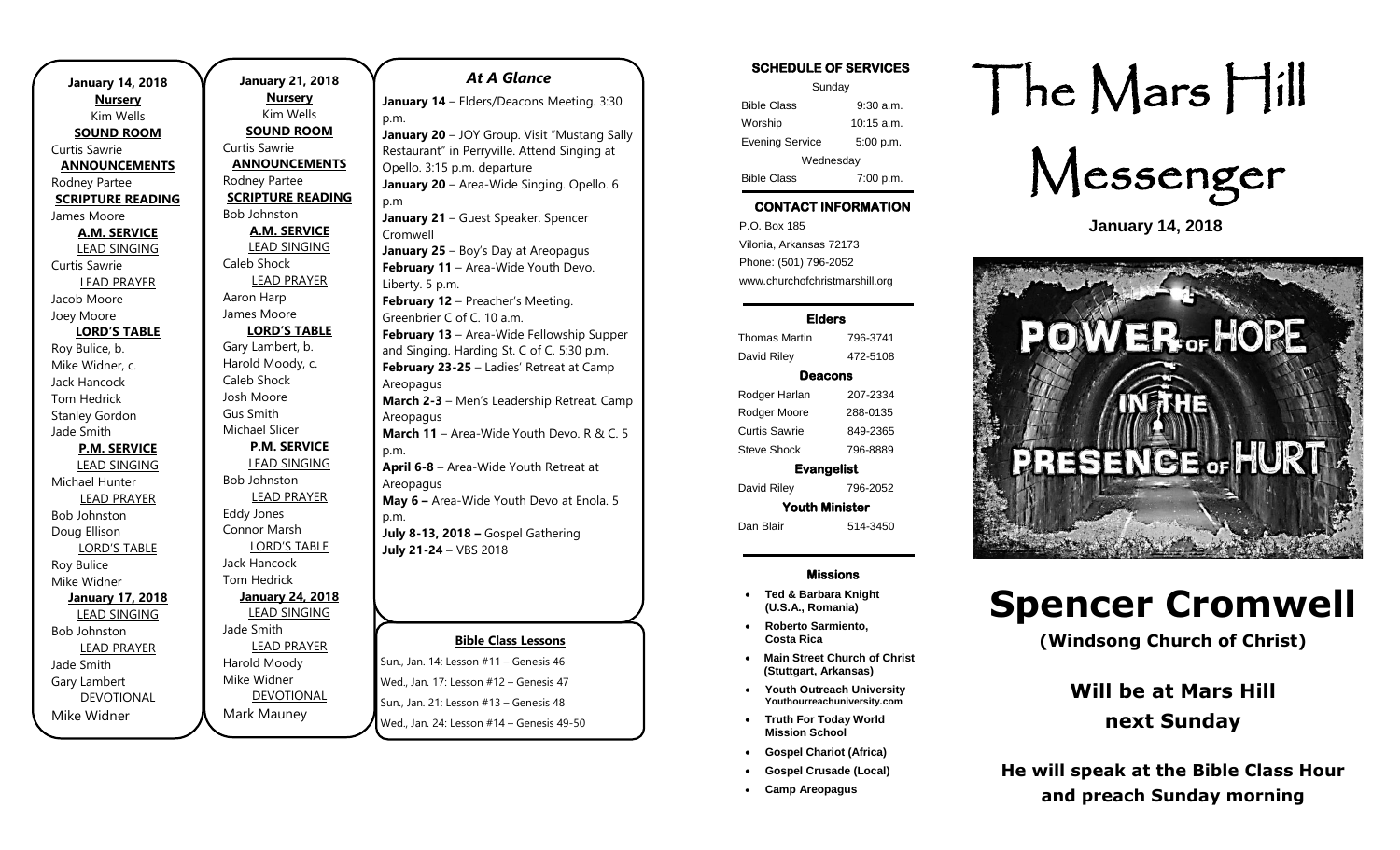| <b>January 14, 2018</b><br><b>Nursery</b> |
|-------------------------------------------|
| Kim Wells                                 |
| <b>SOUND ROOM</b>                         |
| Curtis Sawrie                             |
| <b>ANNOUNCEMENTS</b>                      |
| Rodney Partee                             |
| <b>SCRIPTURE READING</b>                  |
| James Moore                               |
| <b>A.M. SERVICE</b>                       |
| <b>LEAD SINGING</b>                       |
| Curtis Sawrie                             |
| <b>LEAD PRAYER</b>                        |
| Jacob Moore                               |
| Joey Moore                                |
| <b>LORD'S TABLE</b>                       |
| Roy Bulice, b.                            |
| Mike Widner, c.                           |
| Jack Hancock                              |
| Tom Hedrick                               |
| <b>Stanley Gordon</b>                     |
| Jade Smith                                |
| <b>P.M. SERVICE</b>                       |
| <b>LEAD SINGING</b>                       |
| Michael Hunter                            |
| <b>LEAD PRAYER</b>                        |
| <b>Bob Johnston</b>                       |
| Doug Ellison                              |
| <b>LORD'S TABLE</b>                       |
| Roy Bulice                                |
| Mike Widner                               |
| <b>January 17, 2018</b>                   |
| <b>LEAD SINGING</b>                       |
| <b>Bob Johnston</b>                       |
| <b>LEAD PRAYER</b>                        |
| Jade Smith                                |
| Gary Lambert                              |
| <b>DEVOTIONAL</b>                         |
| Mike Widner                               |

**January 21, 2018 Nursery** Kim Wells **SOUND ROOM** Curtis Sawrie **ANNOUNCEMENTS** Rodney Partee **SCRIPTURE READING** Bob Johnston **A.M. SERVICE** LEAD SINGING Caleb Shock LEAD PRAYER Aaron Harp James Moore **LORD'S TABLE** Gary Lambert, b. Harold Moody, c. Caleb Shock Josh Moore Gus Smith Michael Slicer **P.M. SERVICE** LEAD SINGING Bob Johnston LEAD PRAYER Eddy Jones Connor Marsh LORD'S TABLE Jack Hancock Tom Hedrick **January 24, 2018** LEAD SINGING Jade Smith LEAD PRAYER Harold Moody Mike Widner DEVOTIONAL p.m. p.m p.m. p.m.

Mark Mauney

#### **Bible Class Lessons** Sun., Jan. 14: Lesson #11 – Genesis 46 *At A Glance*  **January 14** – Elders/Deacons Meeting. 3:30 **January 20** – JOY Group. Visit "Mustang Sally Restaurant" in Perryville. Attend Singing at Opello. 3:15 p.m. departure January 20 - Area-Wide Singing. Opello. 6 **January 21** – Guest Speaker. Spencer Cromwell **January 25** – Boy's Day at Areopagus **February 11** – Area-Wide Youth Devo. Liberty. 5 p.m. **February 12** – Preacher's Meeting. Greenbrier C of C. 10 a.m. **February 13** – Area-Wide Fellowship Supper and Singing. Harding St. C of C. 5:30 p.m. **February 23-25** – Ladies' Retreat at Camp Areopagus **March 2-3** – Men's Leadership Retreat. Camp Areopagus **March 11** – Area-Wide Youth Devo. R & C. 5 **April 6-8** – Area-Wide Youth Retreat at **Areopagus May 6 –** Area-Wide Youth Devo at Enola. 5 **July 8-13, 2018 –** Gospel Gathering **July 21-24** – VBS 2018

Wed., Jan. 17: Lesson #12 – Genesis 47 Sun., Jan. 21: Lesson #13 – Genesis 48 Wed., Jan. 24: Lesson #14 – Genesis 49-50 SCHEDULE OF SERVICES

| Sunday                 |              |  |
|------------------------|--------------|--|
| <b>Bible Class</b>     | $9:30$ a.m.  |  |
| Worship                | $10:15$ a.m. |  |
| <b>Evening Service</b> | 5:00 p.m.    |  |
| Wednesday              |              |  |
| <b>Bible Class</b>     | 7:00 p.m.    |  |

### CONTACT INFORMATION

. .o. Box 166<br>Vilonia, Arkansas 72173 P.O. Box 185 Phone: (501) 796-2052 www.churchofchristmarshill.org

#### Elders

Thomas Martin 796-3741 David Riley 472-5108 Deacons Rodger Harlan 207-2334 Rodger Moore 288-0135 Curtis Sawrie 849-2365 Steve Shock 796-8889 Evangelist

David Riley 796-2052 Youth Minister

Dan Blair 514-3450

#### Missions

- **Ted & Barbara Knight (U.S.A., Romania)**
- **Roberto Sarmiento, Costa Rica**
- **Main Street Church of Christ (Stuttgart, Arkansas)**
- **Youth Outreach University Youthourreachuniversity.com**
- **Truth For Today World Mission School**
- **Gospel Chariot (Africa)**
- **Gospel Crusade (Local)**
- **Camp Areopagus**

# The Mars Hill



**January 14, 2018**



# **Spencer Cromwell**

**(Windsong Church of Christ)**

# **Will be at Mars Hill next Sunday**

**He will speak at the Bible Class Hour and preach Sunday morning**